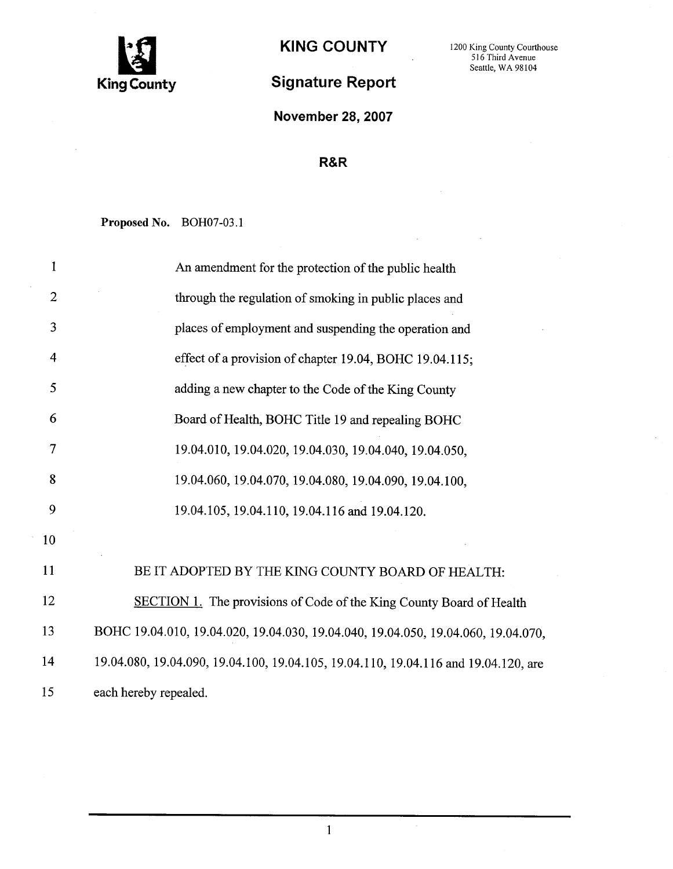

## Signature Report

November 28, 2007

## R&R

Proposed No. BOH07-03.1

| 1              | An amendment for the protection of the public health                                |
|----------------|-------------------------------------------------------------------------------------|
| $\overline{2}$ | through the regulation of smoking in public places and                              |
| 3              | places of employment and suspending the operation and                               |
| $\overline{4}$ | effect of a provision of chapter 19.04, BOHC 19.04.115;                             |
| 5              | adding a new chapter to the Code of the King County                                 |
| 6              | Board of Health, BOHC Title 19 and repealing BOHC                                   |
| 7              | 19.04.010, 19.04.020, 19.04.030, 19.04.040, 19.04.050,                              |
| 8              | 19.04.060, 19.04.070, 19.04.080, 19.04.090, 19.04.100,                              |
| 9              | 19.04.105, 19.04.110, 19.04.116 and 19.04.120.                                      |
| 10             |                                                                                     |
| 11             | BE IT ADOPTED BY THE KING COUNTY BOARD OF HEALTH:                                   |
| 12             | SECTION 1. The provisions of Code of the King County Board of Health                |
| 13             | BOHC 19.04.010, 19.04.020, 19.04.030, 19.04.040, 19.04.050, 19.04.060, 19.04.070,   |
| 14             | 19.04.080, 19.04.090, 19.04.100, 19.04.105, 19.04.110, 19.04.116 and 19.04.120, are |
| 15             | each hereby repealed.                                                               |

 $\mathbf{1}$ 

 $\sim$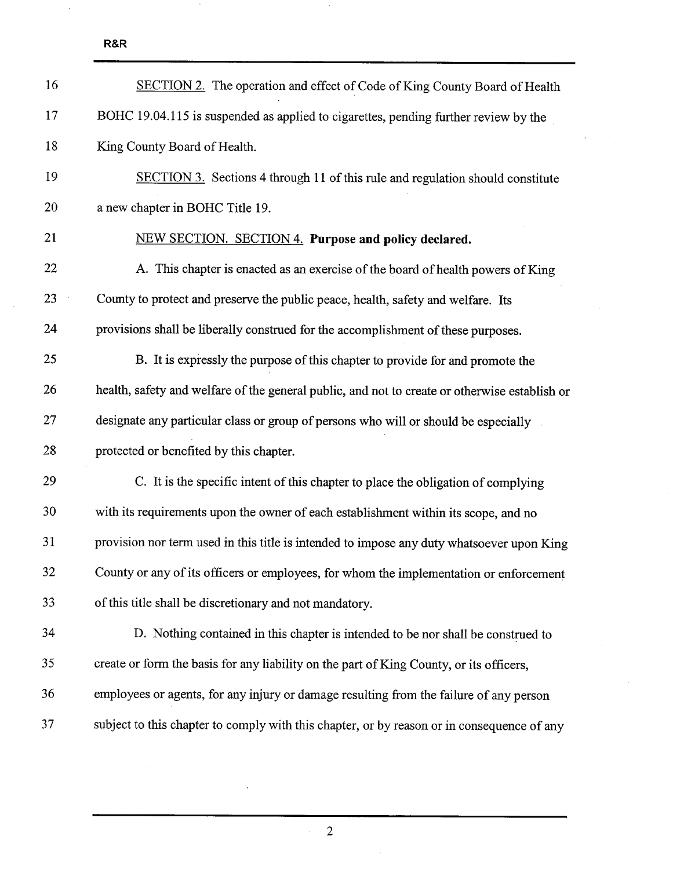$\ddot{\phantom{a}}$ 

| 16 | <b>SECTION 2.</b> The operation and effect of Code of King County Board of Health             |
|----|-----------------------------------------------------------------------------------------------|
| 17 | BOHC 19.04.115 is suspended as applied to cigarettes, pending further review by the           |
| 18 | King County Board of Health.                                                                  |
| 19 | SECTION 3. Sections 4 through 11 of this rule and regulation should constitute                |
| 20 | a new chapter in BOHC Title 19.                                                               |
| 21 | NEW SECTION. SECTION 4. Purpose and policy declared.                                          |
| 22 | A. This chapter is enacted as an exercise of the board of health powers of King               |
| 23 | County to protect and preserve the public peace, health, safety and welfare. Its              |
| 24 | provisions shall be liberally construed for the accomplishment of these purposes.             |
| 25 | B. It is expressly the purpose of this chapter to provide for and promote the                 |
| 26 | health, safety and welfare of the general public, and not to create or otherwise establish or |
| 27 | designate any particular class or group of persons who will or should be especially           |
| 28 | protected or benefited by this chapter.                                                       |
| 29 | C. It is the specific intent of this chapter to place the obligation of complying             |
| 30 | with its requirements upon the owner of each establishment within its scope, and no           |
| 31 | provision nor term used in this title is intended to impose any duty whatsoever upon King     |
| 32 | County or any of its officers or employees, for whom the implementation or enforcement        |
| 33 | of this title shall be discretionary and not mandatory.                                       |
| 34 | D. Nothing contained in this chapter is intended to be nor shall be construed to              |
| 35 | create or form the basis for any liability on the part of King County, or its officers,       |
| 36 | employees or agents, for any injury or damage resulting from the failure of any person        |
| 37 | subject to this chapter to comply with this chapter, or by reason or in consequence of any    |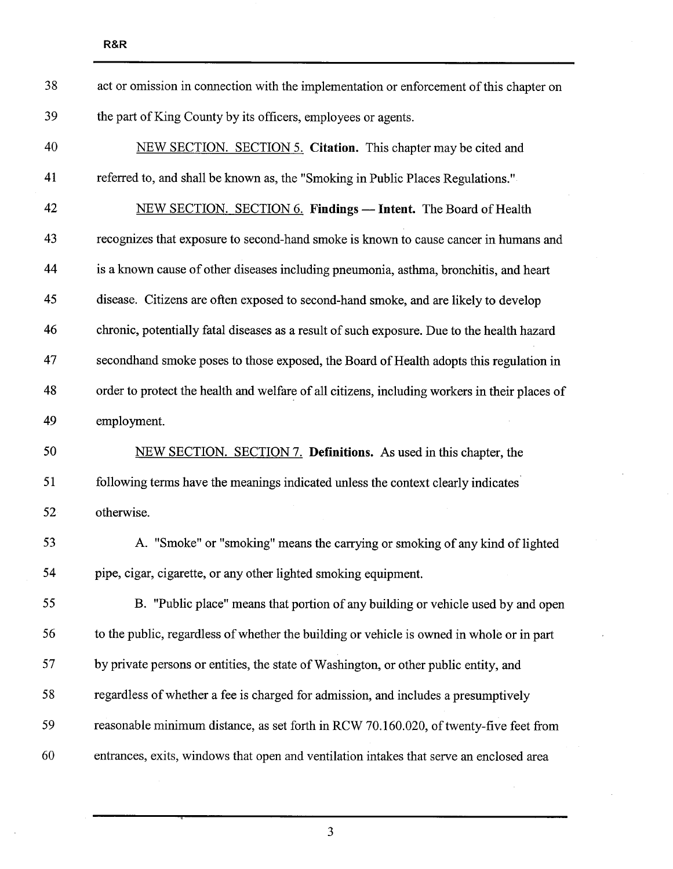| 38 | act or omission in connection with the implementation or enforcement of this chapter on       |
|----|-----------------------------------------------------------------------------------------------|
| 39 | the part of King County by its officers, employees or agents.                                 |
| 40 | NEW SECTION. SECTION 5. Citation. This chapter may be cited and                               |
| 41 | referred to, and shall be known as, the "Smoking in Public Places Regulations."               |
| 42 | NEW SECTION. SECTION 6. Findings - Intent. The Board of Health                                |
| 43 | recognizes that exposure to second-hand smoke is known to cause cancer in humans and          |
| 44 | is a known cause of other diseases including pneumonia, asthma, bronchitis, and heart         |
| 45 | disease. Citizens are often exposed to second-hand smoke, and are likely to develop           |
| 46 | chronic, potentially fatal diseases as a result of such exposure. Due to the health hazard    |
| 47 | second hand smoke poses to those exposed, the Board of Health adopts this regulation in       |
| 48 | order to protect the health and welfare of all citizens, including workers in their places of |
| 49 | employment.                                                                                   |
| 50 | NEW SECTION. SECTION 7. Definitions. As used in this chapter, the                             |
| 51 | following terms have the meanings indicated unless the context clearly indicates              |
| 52 | otherwise.                                                                                    |
| 53 | A. "Smoke" or "smoking" means the carrying or smoking of any kind of lighted                  |
| 54 | pipe, cigar, cigarette, or any other lighted smoking equipment.                               |
| 55 | B. "Public place" means that portion of any building or vehicle used by and open              |
| 56 | to the public, regardless of whether the building or vehicle is owned in whole or in part     |
| 57 | by private persons or entities, the state of Washington, or other public entity, and          |
| 58 | regardless of whether a fee is charged for admission, and includes a presumptively            |
| 59 | reasonable minimum distance, as set forth in RCW 70.160.020, of twenty-five feet from         |
| 60 | entrances, exits, windows that open and ventilation intakes that serve an enclosed area       |
|    |                                                                                               |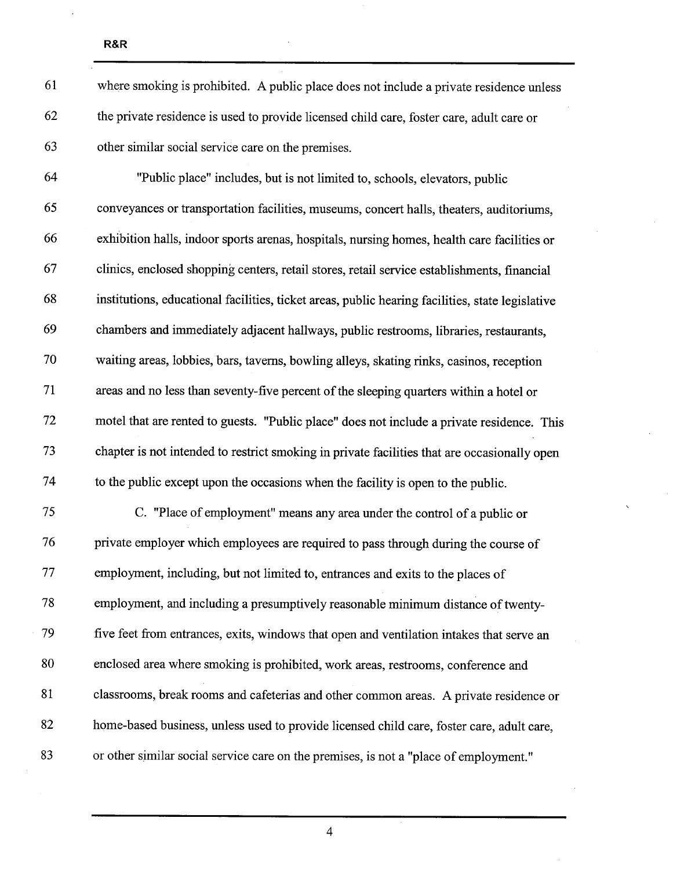| 61 | where smoking is prohibited. A public place does not include a private residence unless          |
|----|--------------------------------------------------------------------------------------------------|
| 62 | the private residence is used to provide licensed child care, foster care, adult care or         |
| 63 | other similar social service care on the premises.                                               |
| 64 | "Public place" includes, but is not limited to, schools, elevators, public                       |
| 65 | conveyances or transportation facilities, museums, concert halls, theaters, auditoriums,         |
| 66 | exhibition halls, indoor sports arenas, hospitals, nursing homes, health care facilities or      |
| 67 | clinics, enclosed shopping centers, retail stores, retail service establishments, financial      |
| 68 | institutions, educational facilities, ticket areas, public hearing facilities, state legislative |
| 69 | chambers and immediately adjacent hallways, public restrooms, libraries, restaurants,            |
| 70 | waiting areas, lobbies, bars, taverns, bowling alleys, skating rinks, casinos, reception         |
| 71 | areas and no less than seventy-five percent of the sleeping quarters within a hotel or           |
| 72 | motel that are rented to guests. "Public place" does not include a private residence. This       |
| 73 | chapter is not intended to restrict smoking in private facilities that are occasionally open     |
| 74 | to the public except upon the occasions when the facility is open to the public.                 |
| 75 | C. "Place of employment" means any area under the control of a public or                         |
| 76 | private employer which employees are required to pass through during the course of               |
| 77 | employment, including, but not limited to, entrances and exits to the places of                  |
| 78 | employment, and including a presumptively reasonable minimum distance of twenty-                 |
| 79 | five feet from entrances, exits, windows that open and ventilation intakes that serve an         |
| 80 | enclosed area where smoking is prohibited, work areas, restrooms, conference and                 |
| 81 | classrooms, break rooms and cafeterias and other common areas. A private residence or            |
| 82 | home-based business, unless used to provide licensed child care, foster care, adult care,        |
| 83 | or other similar social service care on the premises, is not a "place of employment."            |
|    |                                                                                                  |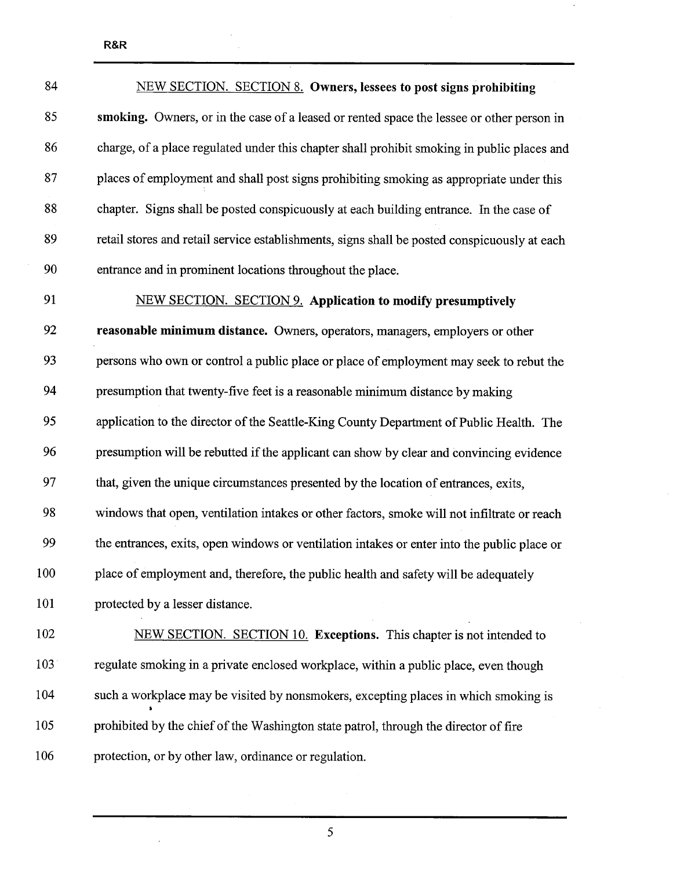| 84  | <b>NEW SECTION. SECTION 8. Owners, lessees to post signs prohibiting</b>                     |
|-----|----------------------------------------------------------------------------------------------|
| 85  | smoking. Owners, or in the case of a leased or rented space the lessee or other person in    |
| 86  | charge, of a place regulated under this chapter shall prohibit smoking in public places and  |
| 87  | places of employment and shall post signs prohibiting smoking as appropriate under this      |
| 88  | chapter. Signs shall be posted conspicuously at each building entrance. In the case of       |
| 89  | retail stores and retail service establishments, signs shall be posted conspicuously at each |
| 90  | entrance and in prominent locations throughout the place.                                    |
| 91  | <b>NEW SECTION. SECTION 9. Application to modify presumptively</b>                           |
| 92  | reasonable minimum distance. Owners, operators, managers, employers or other                 |
| 93  | persons who own or control a public place or place of employment may seek to rebut the       |
| 94  | presumption that twenty-five feet is a reasonable minimum distance by making                 |
| 95  | application to the director of the Seattle-King County Department of Public Health. The      |
| 96  | presumption will be rebutted if the applicant can show by clear and convincing evidence      |
| 97  | that, given the unique circumstances presented by the location of entrances, exits,          |
| 98  | windows that open, ventilation intakes or other factors, smoke will not infiltrate or reach  |
| 99  | the entrances, exits, open windows or ventilation intakes or enter into the public place or  |
| 100 | place of employment and, therefore, the public health and safety will be adequately          |
| 101 | protected by a lesser distance.                                                              |
| 102 | NEW SECTION. SECTION 10. Exceptions. This chapter is not intended to                         |
| 103 | regulate smoking in a private enclosed workplace, within a public place, even though         |
| 104 | such a workplace may be visited by nonsmokers, excepting places in which smoking is          |
| 105 | prohibited by the chief of the Washington state patrol, through the director of fire         |
|     |                                                                                              |

 $\bar{\gamma}$ 

106 protection, or by other law, ordinance or regulation.

 $\ddot{\phantom{a}}$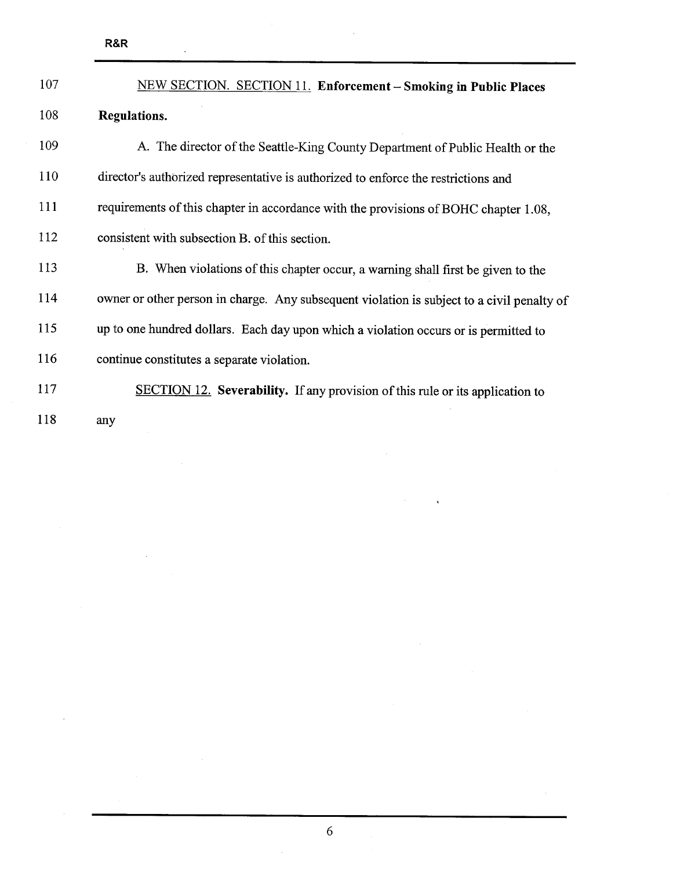$\ddot{\phantom{a}}$ 

| 107 | <b>NEW SECTION. SECTION 11. Enforcement – Smoking in Public Places</b>                     |
|-----|--------------------------------------------------------------------------------------------|
| 108 | Regulations.                                                                               |
| 109 | A. The director of the Seattle-King County Department of Public Health or the              |
| 110 | director's authorized representative is authorized to enforce the restrictions and         |
| 111 | requirements of this chapter in accordance with the provisions of BOHC chapter 1.08,       |
| 112 | consistent with subsection B, of this section.                                             |
| 113 | B. When violations of this chapter occur, a warning shall first be given to the            |
| 114 | owner or other person in charge. Any subsequent violation is subject to a civil penalty of |
| 115 | up to one hundred dollars. Each day upon which a violation occurs or is permitted to       |
| 116 | continue constitutes a separate violation.                                                 |
| 117 | <b>SECTION 12.</b> Severability. If any provision of this rule or its application to       |
| 118 | any                                                                                        |